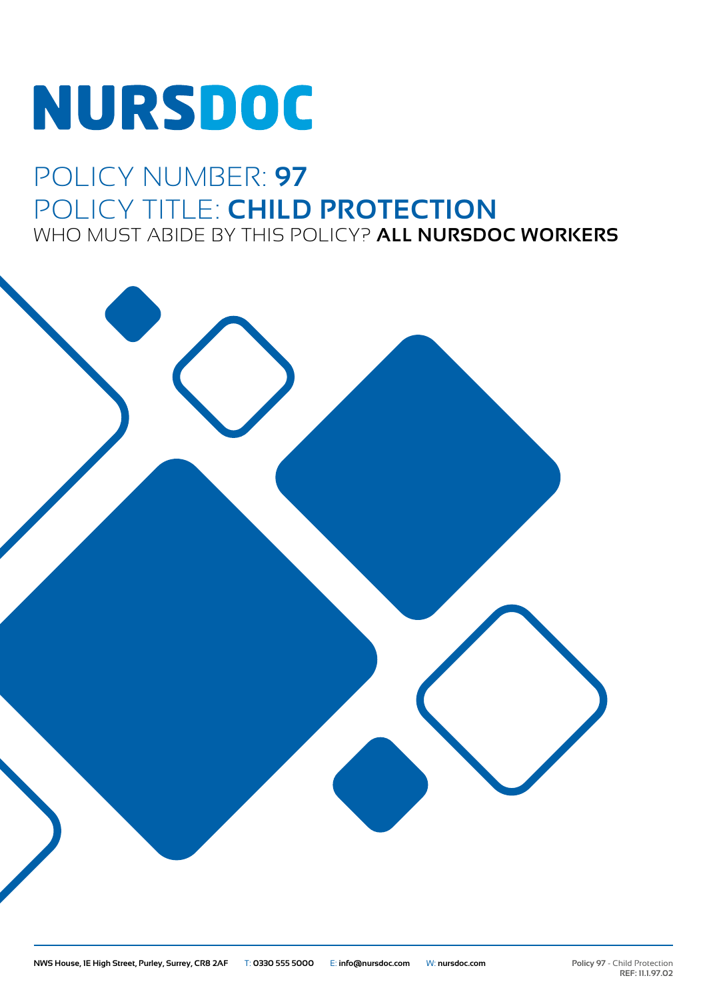# **NURSDOC**

# POLICY NUMBER: **97** POLICY TITLE: **CHILD PROTECTION** WHO MUST ABIDE BY THIS POLICY? **ALL NURSDOC WORKERS**

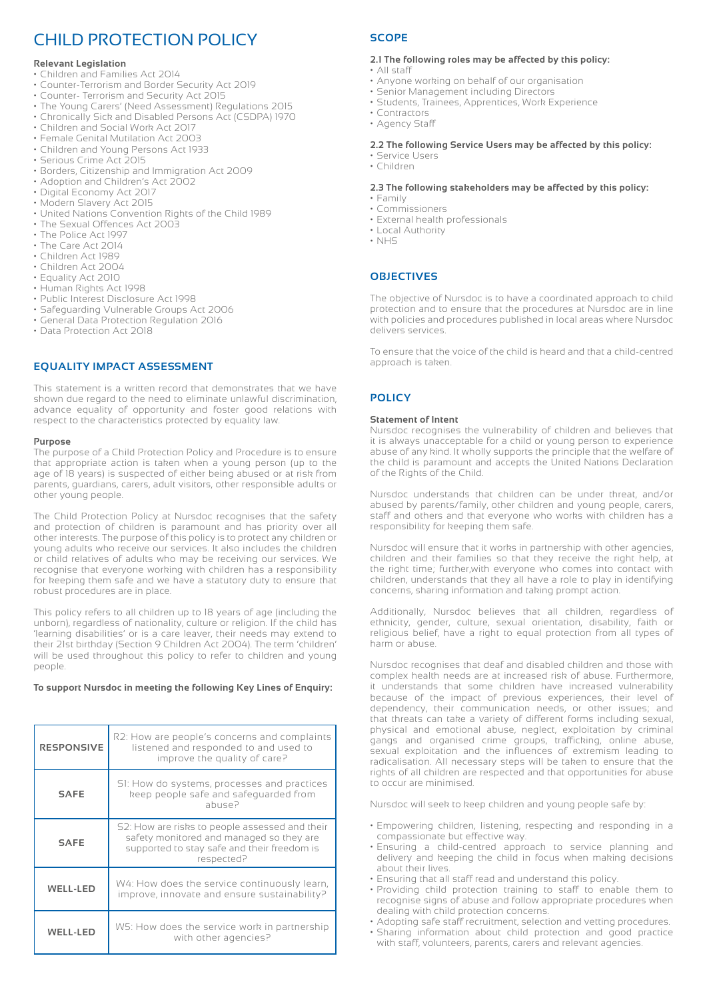# CHILD PROTECTION POLICY

# **Relevant Legislation**

- Children and Families Act 2014
- Counter-Terrorism and Border Security Act 2019
- Counter- Terrorism and Security Act 2015
- The Young Carers' (Need Assessment) Regulations 2015
- Chronically Sick and Disabled Persons Act (CSDPA) 1970
- Children and Social Work Act 2017
- Female Genital Mutilation Act 2003
- Children and Young Persons Act 1933
- Serious Crime Act 2015
- Borders, Citizenship and Immigration Act 2009
- Adoption and Children's Act 2002
- Digital Economy Act 2017
- Modern Slavery Act 2015
- United Nations Convention Rights of the Child 1989
- The Sexual Offences Act 2003
- The Police Act 1997
- The Care Act 2014
- Children Act 1989
- Children Act 2004
- Equality Act 2010
- Human Rights Act 1998
- Public Interest Disclosure Act 1998
- Safeguarding Vulnerable Groups Act 2006
- General Data Protection Regulation 2016
- Data Protection Act 2018

# **EQUALITY IMPACT ASSESSMENT**

This statement is a written record that demonstrates that we have shown due regard to the need to eliminate unlawful discrimination, advance equality of opportunity and foster good relations with respect to the characteristics protected by equality law.

# **Purpose**

The purpose of a Child Protection Policy and Procedure is to ensure that appropriate action is taken when a young person (up to the age of 18 years) is suspected of either being abused or at risk from parents, guardians, carers, adult visitors, other responsible adults or other young people.

The Child Protection Policy at Nursdoc recognises that the safety and protection of children is paramount and has priority over all other interests. The purpose of this policy is to protect any children or young adults who receive our services. It also includes the children or child relatives of adults who may be receiving our services. We recognise that everyone working with children has a responsibility for keeping them safe and we have a statutory duty to ensure that robust procedures are in place.

This policy refers to all children up to 18 years of age (including the unborn), regardless of nationality, culture or religion. If the child has 'learning disabilities' or is a care leaver, their needs may extend to their 21st birthday (Section 9 Children Act 2004). The term 'children' will be used throughout this policy to refer to children and young people.

# **To support Nursdoc in meeting the following Key Lines of Enquiry:**

| <b>RESPONSIVE</b> | R2: How are people's concerns and complaints<br>listened and responded to and used to<br>improve the quality of care?                                   |
|-------------------|---------------------------------------------------------------------------------------------------------------------------------------------------------|
| <b>SAFE</b>       | SI: How do systems, processes and practices<br>keep people safe and safeguarded from<br>abuse?                                                          |
| <b>SAFE</b>       | S2: How are risks to people assessed and their<br>safety monitored and managed so they are<br>supported to stay safe and their freedom is<br>respected? |
| <b>WELL-LED</b>   | W4: How does the service continuously learn,<br>improve, innovate and ensure sustainability?                                                            |
| <b>WELL-LED</b>   | W5: How does the service work in partnership<br>with other agencies?                                                                                    |

# **SCOPE**

# **2.1 The following roles may be affected by this policy:**

- All staff
- Anyone working on behalf of our organisation
- Senior Management including Directors
- Students, Trainees, Apprentices, Work Experience
- Contractors
- Agency Staff

# **2.2 The following Service Users may be affected by this policy:**

• Service Users • Children

# **2.3 The following stakeholders may be affected by this policy:**

- Family • Commissioners
- External health professionals
- Local Authority
- NHS

# **OBJECTIVES**

The objective of Nursdoc is to have a coordinated approach to child protection and to ensure that the procedures at Nursdoc are in line with policies and procedures published in local areas where Nursdoc delivers services.

To ensure that the voice of the child is heard and that a child-centred approach is taken.

# **POLICY**

# **Statement of Intent**

Nursdoc recognises the vulnerability of children and believes that it is always unacceptable for a child or young person to experience abuse of any kind. It wholly supports the principle that the welfare of the child is paramount and accepts the United Nations Declaration of the Rights of the Child.

Nursdoc understands that children can be under threat, and/or abused by parents/family, other children and young people, carers, staff and others and that everyone who works with children has a responsibility for keeping them safe.

Nursdoc will ensure that it works in partnership with other agencies, children and their families so that they receive the right help, at the right time; further,with everyone who comes into contact with children, understands that they all have a role to play in identifying concerns, sharing information and taking prompt action.

Additionally, Nursdoc believes that all children, regardless of ethnicity, gender, culture, sexual orientation, disability, faith or religious belief, have a right to equal protection from all types of harm or abuse.

Nursdoc recognises that deaf and disabled children and those with complex health needs are at increased risk of abuse. Furthermore, it understands that some children have increased vulnerability because of the impact of previous experiences, their level of dependency, their communication needs, or other issues; and that threats can take a variety of different forms including sexual, physical and emotional abuse, neglect, exploitation by criminal gangs and organised crime groups, trafficking, online abuse, sexual exploitation and the influences of extremism leading to radicalisation. All necessary steps will be taken to ensure that the rights of all children are respected and that opportunities for abuse to occur are minimised.

Nursdoc will seek to keep children and young people safe by:

- Empowering children, listening, respecting and responding in a compassionate but effective way.
- Ensuring a child-centred approach to service planning and delivery and keeping the child in focus when making decisions about their lives.
- Ensuring that all staff read and understand this policy.
- Providing child protection training to staff to enable them to recognise signs of abuse and follow appropriate procedures when dealing with child protection concerns.
- Adopting safe staff recruitment, selection and vetting procedures.
- Sharing information about child protection and good practice
- with staff, volunteers, parents, carers and relevant agencies.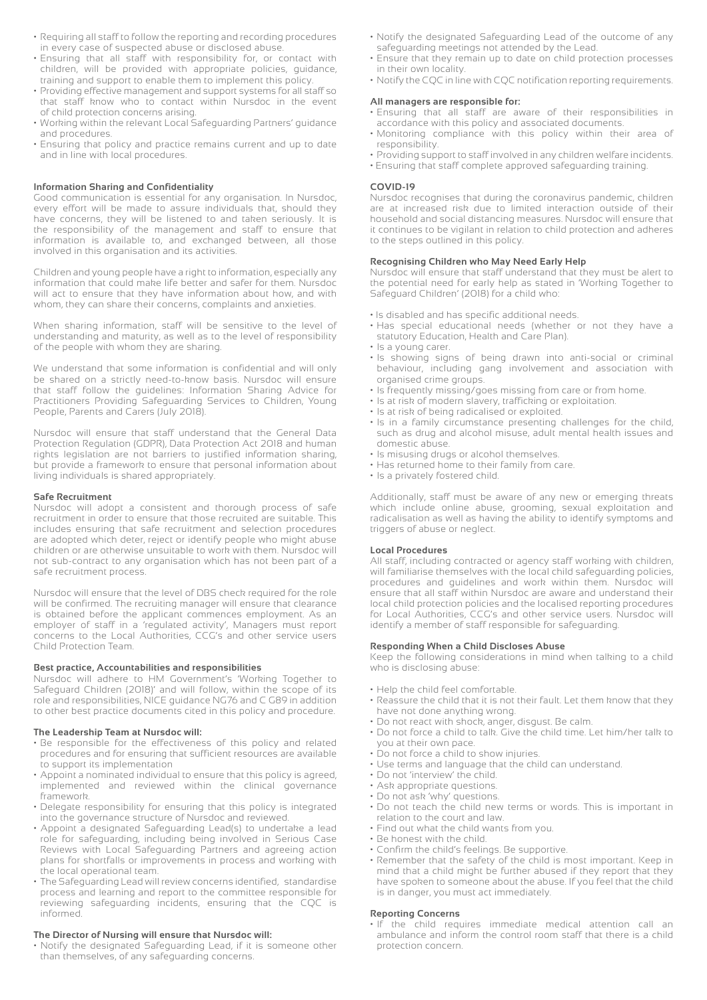- Requiring all staff to follow the reporting and recording procedures in every case of suspected abuse or disclosed abuse.
- Ensuring that all staff with responsibility for, or contact with children, will be provided with appropriate policies, guidance, training and support to enable them to implement this policy.
- Providing effective management and support systems for all staff so that staff know who to contact within Nursdoc in the event of child protection concerns arising.
- Working within the relevant Local Safeguarding Partners' guidance and procedures.
- Ensuring that policy and practice remains current and up to date and in line with local procedures.

# **Information Sharing and Confidentiality**

Good communication is essential for any organisation. In Nursdoc, every effort will be made to assure individuals that, should they have concerns, they will be listened to and taken seriously. It is the responsibility of the management and staff to ensure that information is available to, and exchanged between, all those involved in this organisation and its activities.

Children and young people have a right to information, especially any information that could make life better and safer for them. Nursdoc will act to ensure that they have information about how, and with whom, they can share their concerns, complaints and anxieties.

When sharing information, staff will be sensitive to the level of understanding and maturity, as well as to the level of responsibility of the people with whom they are sharing.

We understand that some information is confidential and will only be shared on a strictly need-to-know basis. Nursdoc will ensure that staff follow the guidelines: Information Sharing Advice for Practitioners Providing Safeguarding Services to Children, Young People, Parents and Carers (July 2018).

Nursdoc will ensure that staff understand that the General Data Protection Regulation (GDPR), Data Protection Act 2018 and human rights legislation are not barriers to justified information sharing, but provide a framework to ensure that personal information about living individuals is shared appropriately.

#### **Safe Recruitment**

Nursdoc will adopt a consistent and thorough process of safe recruitment in order to ensure that those recruited are suitable. This includes ensuring that safe recruitment and selection procedures are adopted which deter, reject or identify people who might abuse children or are otherwise unsuitable to work with them. Nursdoc will not sub-contract to any organisation which has not been part of a safe recruitment process.

Nursdoc will ensure that the level of DBS check required for the role will be confirmed. The recruiting manager will ensure that clearance is obtained before the applicant commences employment. As an employer of staff in a 'regulated activity', Managers must report concerns to the Local Authorities, CCG's and other service users Child Protection Team.

# **Best practice, Accountabilities and responsibilities**

Nursdoc will adhere to HM Government's 'Working Together to Safeguard Children (2018)' and will follow, within the scope of its role and responsibilities, NICE guidance NG76 and C G89 in addition to other best practice documents cited in this policy and procedure.

# **The Leadership Team at Nursdoc will:**

- Be responsible for the effectiveness of this policy and related procedures and for ensuring that sufficient resources are available to support its implementation
- Appoint a nominated individual to ensure that this policy is agreed, implemented and reviewed within the clinical governance framework.
- Delegate responsibility for ensuring that this policy is integrated into the governance structure of Nursdoc and reviewed.
- Appoint a designated Safeguarding Lead(s) to undertake a lead role for safeguarding, including being involved in Serious Case Reviews with Local Safeguarding Partners and agreeing action plans for shortfalls or improvements in process and working with the local operational team.
- The Safeguarding Lead will review concerns identified, standardise process and learning and report to the committee responsible for reviewing safeguarding incidents, ensuring that the CQC is informed.

# **The Director of Nursing will ensure that Nursdoc will:**

• Notify the designated Safeguarding Lead, if it is someone other than themselves, of any safeguarding concerns.

- Notify the designated Safeguarding Lead of the outcome of any safeguarding meetings not attended by the Lead.
- Ensure that they remain up to date on child protection processes in their own locality.
- Notify the CQC in line with CQC notification reporting requirements.

# **All managers are responsible for:**

- Ensuring that all staff are aware of their responsibilities in accordance with this policy and associated documents.
- Monitoring compliance with this policy within their area of responsibility.
- Providing support to staff involved in any children welfare incidents.
- Ensuring that staff complete approved safeguarding training.

#### **COVID-19**

Nursdoc recognises that during the coronavirus pandemic, children are at increased risk due to limited interaction outside of their household and social distancing measures. Nursdoc will ensure that it continues to be vigilant in relation to child protection and adheres to the steps outlined in this policy.

# **Recognising Children who May Need Early Help**

Nursdoc will ensure that staff understand that they must be alert to the potential need for early help as stated in 'Working Together to Safeguard Children' (2018) for a child who:

- Is disabled and has specific additional needs.
- Has special educational needs (whether or not they have a statutory Education, Health and Care Plan).
- Is a young carer.
- Is showing signs of being drawn into anti-social or criminal behaviour, including gang involvement and association with organised crime groups.
- Is frequently missing/goes missing from care or from home.
- Is at risk of modern slavery, trafficking or exploitation.
- Is at risk of being radicalised or exploited.
- Is in a family circumstance presenting challenges for the child, such as drug and alcohol misuse, adult mental health issues and domestic abuse.
- Is misusing drugs or alcohol themselves.
- Has returned home to their family from care.
- Is a privately fostered child.

Additionally, staff must be aware of any new or emerging threats which include online abuse, grooming, sexual exploitation and radicalisation as well as having the ability to identify symptoms and triggers of abuse or neglect.

# **Local Procedures**

All staff, including contracted or agency staff working with children, will familiarise themselves with the local child safeguarding policies, procedures and guidelines and work within them. Nursdoc will ensure that all staff within Nursdoc are aware and understand their local child protection policies and the localised reporting procedures for Local Authorities, CCG's and other service users. Nursdoc will identify a member of staff responsible for safeguarding.

# **Responding When a Child Discloses Abuse**

Keep the following considerations in mind when talking to a child who is disclosing abuse:

- Help the child feel comfortable.
- Reassure the child that it is not their fault. Let them know that they have not done anything wrong.
- Do not react with shock, anger, disgust. Be calm.
- Do not force a child to talk. Give the child time. Let him/her talk to you at their own pace.
- Do not force a child to show injuries.
- Use terms and language that the child can understand.
- Do not 'interview' the child.
- Ask appropriate questions.
- Do not ask 'why' questions.
- Do not teach the child new terms or words. This is important in relation to the court and law.
- Find out what the child wants from you.
- Be honest with the child.
- Confirm the child's feelings. Be supportive. • Remember that the safety of the child is most important. Keep in mind that a child might be further abused if they report that they
- have spoken to someone about the abuse. If you feel that the child is in danger, you must act immediately.

# **Reporting Concerns**

• If the child requires immediate medical attention call an ambulance and inform the control room staff that there is a child protection concern.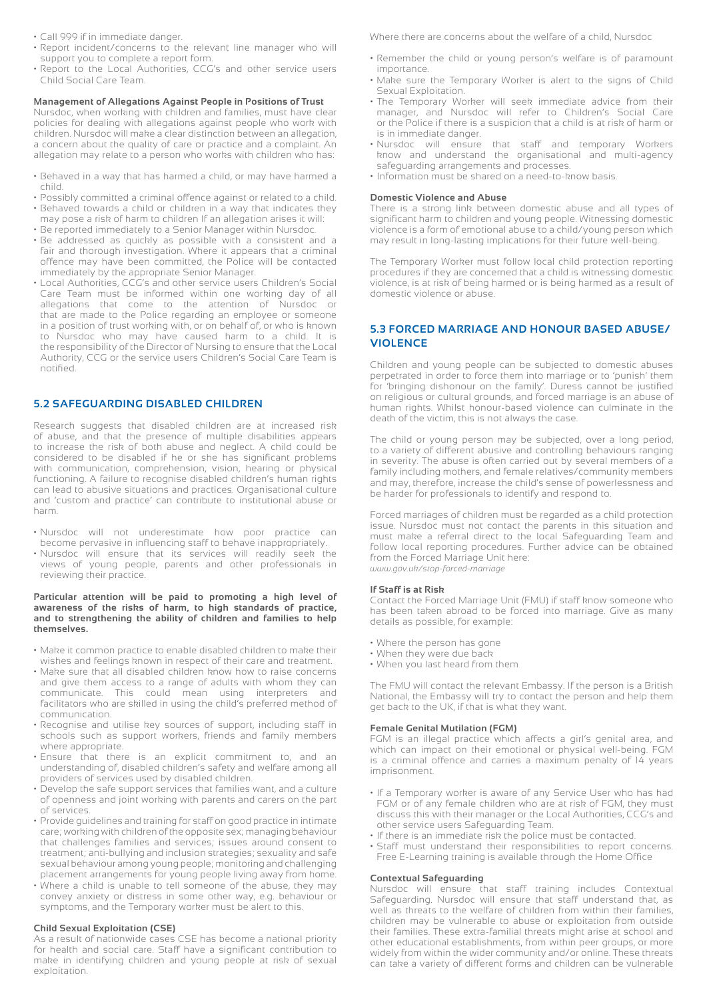- Call 999 if in immediate danger.
- Report incident/concerns to the relevant line manager who will support you to complete a report form.
- Report to the Local Authorities, CCG's and other service users Child Social Care Team.

# **Management of Allegations Against People in Positions of Trust**

Nursdoc, when working with children and families, must have clear policies for dealing with allegations against people who work with children. Nursdoc will make a clear distinction between an allegation, a concern about the quality of care or practice and a complaint. An allegation may relate to a person who works with children who has:

- Behaved in a way that has harmed a child, or may have harmed a child.
- Possibly committed a criminal offence against or related to a child.
- Behaved towards a child or children in a way that indicates they may pose a risk of harm to children If an allegation arises it will:
- Be reported immediately to a Senior Manager within Nursdoc.
- Be addressed as quickly as possible with a consistent and a fair and thorough investigation. Where it appears that a criminal offence may have been committed, the Police will be contacted immediately by the appropriate Senior Manager.
- Local Authorities, CCG's and other service users Children's Social Care Team must be informed within one working day of all allegations that come to the attention of Nursdoc or that are made to the Police regarding an employee or someone in a position of trust working with, or on behalf of, or who is known to Nursdoc who may have caused harm to a child. It is the responsibility of the Director of Nursing to ensure that the Local Authority, CCG or the service users Children's Social Care Team is notified.

# **5.2 SAFEGUARDING DISABLED CHILDREN**

Research suggests that disabled children are at increased risk of abuse, and that the presence of multiple disabilities appears to increase the risk of both abuse and neglect. A child could be considered to be disabled if he or she has significant problems with communication, comprehension, vision, hearing or physical functioning. A failure to recognise disabled children's human rights can lead to abusive situations and practices. Organisational culture and 'custom and practice' can contribute to institutional abuse or harm.

- Nursdoc will not underestimate how poor practice can become pervasive in influencing staff to behave inappropriately.
- Nursdoc will ensure that its services will readily seek the views of young people, parents and other professionals in reviewing their practice.

# **Particular attention will be paid to promoting a high level of awareness of the risks of harm, to high standards of practice, and to strengthening the ability of children and families to help themselves.**

- Make it common practice to enable disabled children to make their wishes and feelings known in respect of their care and treatment.
- Make sure that all disabled children know how to raise concerns and give them access to a range of adults with whom they can communicate. This could mean using interpreters and facilitators who are skilled in using the child's preferred method of communication.
- Recognise and utilise key sources of support, including staff in schools such as support workers, friends and family members where appropriate.
- Ensure that there is an explicit commitment to, and an understanding of, disabled children's safety and welfare among all providers of services used by disabled children.
- Develop the safe support services that families want, and a culture of openness and joint working with parents and carers on the part of services.
- Provide guidelines and training for staff on good practice in intimate care; working with children of the opposite sex; managing behaviour that challenges families and services; issues around consent to treatment; anti-bullying and inclusion strategies; sexuality and safe sexual behaviour among young people; monitoring and challenging placement arrangements for young people living away from home.
- Where a child is unable to tell someone of the abuse, they may convey anxiety or distress in some other way, e.g. behaviour or symptoms, and the Temporary worker must be alert to this.

# **Child Sexual Exploitation (CSE)**

As a result of nationwide cases CSE has become a national priority for health and social care. Staff have a significant contribution to make in identifying children and young people at risk of sexual exploitation.

Where there are concerns about the welfare of a child, Nursdoc

- Remember the child or young person's welfare is of paramount importance.
- Make sure the Temporary Worker is alert to the signs of Child Sexual Exploitation.
- The Temporary Worker will seek immediate advice from their manager, and Nursdoc will refer to Children's Social Care or the Police if there is a suspicion that a child is at risk of harm or is in immediate danger.
- Nursdoc will ensure that staff and temporary Workers know and understand the organisational and multi-agency safeguarding arrangements and processes.
- Information must be shared on a need-to-know basis.

#### **Domestic Violence and Abuse**

There is a strong link between domestic abuse and all types of significant harm to children and young people. Witnessing domestic violence is a form of emotional abuse to a child/young person which may result in long-lasting implications for their future well-being.

The Temporary Worker must follow local child protection reporting procedures if they are concerned that a child is witnessing domestic violence, is at risk of being harmed or is being harmed as a result of domestic violence or abuse.

# **5.3 FORCED MARRIAGE AND HONOUR BASED ABUSE/ VIOLENCE**

Children and young people can be subjected to domestic abuses perpetrated in order to force them into marriage or to 'punish' them for 'bringing dishonour on the family'. Duress cannot be justified on religious or cultural grounds, and forced marriage is an abuse of human rights. Whilst honour-based violence can culminate in the death of the victim, this is not always the case.

The child or young person may be subjected, over a long period, to a variety of different abusive and controlling behaviours ranging in severity. The abuse is often carried out by several members of a family including mothers, and female relatives/community members and may, therefore, increase the child's sense of powerlessness and be harder for professionals to identify and respond to.

Forced marriages of children must be regarded as a child protection issue. Nursdoc must not contact the parents in this situation and must make a referral direct to the local Safeguarding Team and follow local reporting procedures. Further advice can be obtained from the Forced Marriage Unit here: *www.gov.uk/stop-forced-marriage*

# **If Staff is at Risk**

Contact the Forced Marriage Unit (FMU) if staff know someone who has been taken abroad to be forced into marriage. Give as many details as possible, for example:

- Where the person has gone
- When they were due back
- When you last heard from them

The FMU will contact the relevant Embassy. If the person is a British National, the Embassy will try to contact the person and help them get back to the UK, if that is what they want.

#### **Female Genital Mutilation (FGM)**

FGM is an illegal practice which affects a girl's genital area, and which can impact on their emotional or physical well-being. FGM is a criminal offence and carries a maximum penalty of  $14$  years imprisonment.

- If a Temporary worker is aware of any Service User who has had FGM or of any female children who are at risk of FGM, they must discuss this with their manager or the Local Authorities, CCG's and other service users Safeguarding Team.
- If there is an immediate risk the police must be contacted.
- Staff must understand their responsibilities to report concerns. Free E-Learning training is available through the Home Office

# **Contextual Safeguarding**

Nursdoc will ensure that staff training includes Contextual Safeguarding. Nursdoc will ensure that staff understand that, as well as threats to the welfare of children from within their families, children may be vulnerable to abuse or exploitation from outside their families. These extra-familial threats might arise at school and other educational establishments, from within peer groups, or more widely from within the wider community and/or online. These threats can take a variety of different forms and children can be vulnerable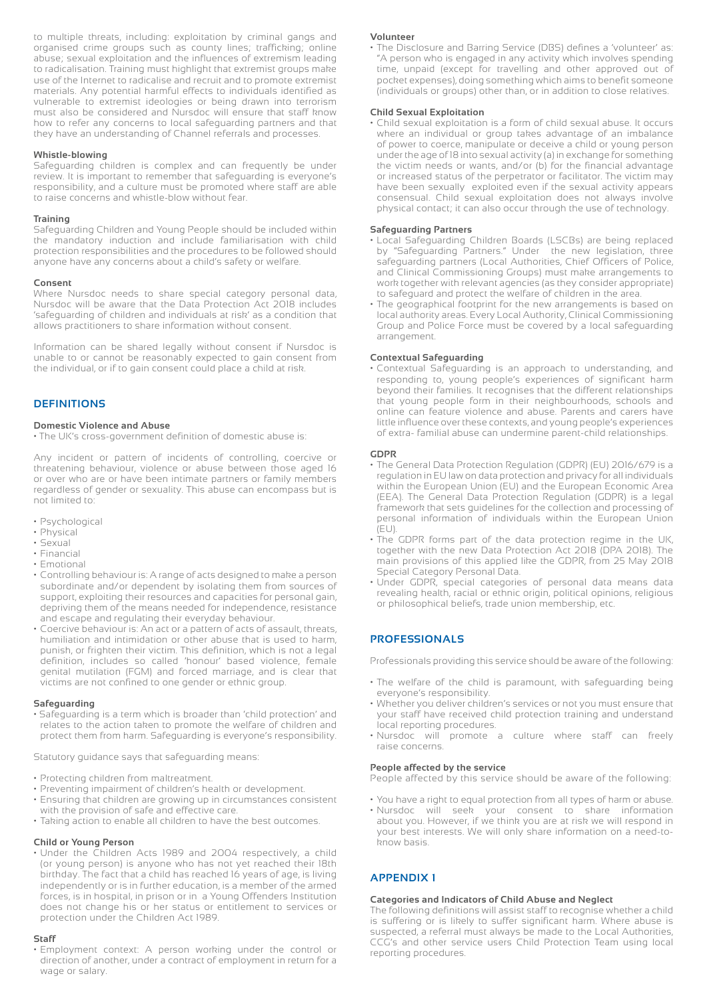to multiple threats, including: exploitation by criminal gangs and organised crime groups such as county lines; trafficking; online abuse; sexual exploitation and the influences of extremism leading to radicalisation. Training must highlight that extremist groups make use of the Internet to radicalise and recruit and to promote extremist materials. Any potential harmful effects to individuals identified as vulnerable to extremist ideologies or being drawn into terrorism must also be considered and Nursdoc will ensure that staff know how to refer any concerns to local safeguarding partners and that they have an understanding of Channel referrals and processes.

# **Whistle-blowing**

Safeguarding children is complex and can frequently be under review. It is important to remember that safeguarding is everyone's responsibility, and a culture must be promoted where staff are able to raise concerns and whistle-blow without fear.

# **Training**

Safeguarding Children and Young People should be included within the mandatory induction and include familiarisation with child protection responsibilities and the procedures to be followed should anyone have any concerns about a child's safety or welfare.

# **Consent**

Where Nursdoc needs to share special category personal data, Nursdoc will be aware that the Data Protection Act 2018 includes 'safeguarding of children and individuals at risk' as a condition that allows practitioners to share information without consent.

Information can be shared legally without consent if Nursdoc is unable to or cannot be reasonably expected to gain consent from the individual, or if to gain consent could place a child at risk.

# **DEFINITIONS**

# **Domestic Violence and Abuse**

• The UK's cross-government definition of domestic abuse is:

Any incident or pattern of incidents of controlling, coercive or threatening behaviour, violence or abuse between those aged 16 or over who are or have been intimate partners or family members regardless of gender or sexuality. This abuse can encompass but is not limited to:

- Psychological
- Physical
- Sexual
- Financial
- Emotional
- Controlling behaviour is: A range of acts designed to make a person subordinate and/or dependent by isolating them from sources of support, exploiting their resources and capacities for personal gain, depriving them of the means needed for independence, resistance and escape and regulating their everyday behaviour.
- Coercive behaviour is: An act or a pattern of acts of assault, threats, humiliation and intimidation or other abuse that is used to harm, punish, or frighten their victim. This definition, which is not a legal definition, includes so called 'honour' based violence, female genital mutilation (FGM) and forced marriage, and is clear that victims are not confined to one gender or ethnic group.

# **Safeguarding**

• Safeguarding is a term which is broader than 'child protection' and relates to the action taken to promote the welfare of children and protect them from harm. Safeguarding is everyone's responsibility.

Statutory guidance says that safeguarding means:

- Protecting children from maltreatment.
- Preventing impairment of children's health or development.
- Ensuring that children are growing up in circumstances consistent with the provision of safe and effective care.
- Taking action to enable all children to have the best outcomes.

# **Child or Young Person**

• Under the Children Acts 1989 and 2004 respectively, a child (or young person) is anyone who has not yet reached their 18th birthday. The fact that a child has reached 16 years of age, is living independently or is in further education, is a member of the armed forces, is in hospital, in prison or in a Young Offenders Institution does not change his or her status or entitlement to services or protection under the Children Act 1989.

# **Staff**

• Employment context: A person working under the control or direction of another, under a contract of employment in return for a wage or salary.

#### **Volunteer**

• The Disclosure and Barring Service (DBS) defines a 'volunteer' as: "A person who is engaged in any activity which involves spending time, unpaid (except for travelling and other approved out of pocket expenses), doing something which aims to benefit someone (individuals or groups) other than, or in addition to close relatives.

# **Child Sexual Exploitation**

• Child sexual exploitation is a form of child sexual abuse. It occurs where an individual or group takes advantage of an imbalance of power to coerce, manipulate or deceive a child or young person under the age of 18 into sexual activity (a) in exchange for something the victim needs or wants, and/or (b) for the financial advantage or increased status of the perpetrator or facilitator. The victim may have been sexually exploited even if the sexual activity appears consensual. Child sexual exploitation does not always involve physical contact; it can also occur through the use of technology.

# **Safeguarding Partners**

- Local Safeguarding Children Boards (LSCBs) are being replaced by "Safeguarding Partners." Under the new legislation, three safeguarding partners (Local Authorities, Chief Officers of Police, and Clinical Commissioning Groups) must make arrangements to work together with relevant agencies (as they consider appropriate) to safeguard and protect the welfare of children in the area.
- The geographical footprint for the new arrangements is based on local authority areas. Every Local Authority, Clinical Commissioning Group and Police Force must be covered by a local safeguarding arrangement.

# **Contextual Safeguarding**

• Contextual Safeguarding is an approach to understanding, and responding to, young people's experiences of significant harm beyond their families. It recognises that the different relationships that young people form in their neighbourhoods, schools and online can feature violence and abuse. Parents and carers have little influence over these contexts, and young people's experiences of extra- familial abuse can undermine parent-child relationships.

# **GDPR**

- The General Data Protection Regulation (GDPR) (EU) 2016/679 is a regulation in EU law on data protection and privacy for all individuals within the European Union (EU) and the European Economic Area (EEA). The General Data Protection Regulation (GDPR) is a legal framework that sets guidelines for the collection and processing of personal information of individuals within the European Union  $(EU)$ .
- The GDPR forms part of the data protection regime in the UK, together with the new Data Protection Act 2018 (DPA 2018). The main provisions of this applied like the GDPR, from 25 May 2018 Special Category Personal Data.
- Under GDPR, special categories of personal data means data revealing health, racial or ethnic origin, political opinions, religious or philosophical beliefs, trade union membership, etc.

# **PROFESSIONALS**

Professionals providing this service should be aware of the following:

- The welfare of the child is paramount, with safeguarding being everyone's responsibility.
- Whether you deliver children's services or not you must ensure that your staff have received child protection training and understand local reporting procedures.
- Nursdoc will promote a culture where staff can freely raise concerns.

# **People affected by the service**

People affected by this service should be aware of the following:

- You have a right to equal protection from all types of harm or abuse.
- Nursdoc will seek your consent to share information about you. However, if we think you are at risk we will respond in your best interests. We will only share information on a need-toknow basis.

# **APPENDIX 1**

# **Categories and Indicators of Child Abuse and Neglect**

The following definitions will assist staff to recognise whether a child is suffering or is likely to suffer significant harm. Where abuse is suspected, a referral must always be made to the Local Authorities, CCG's and other service users Child Protection Team using local reporting procedures.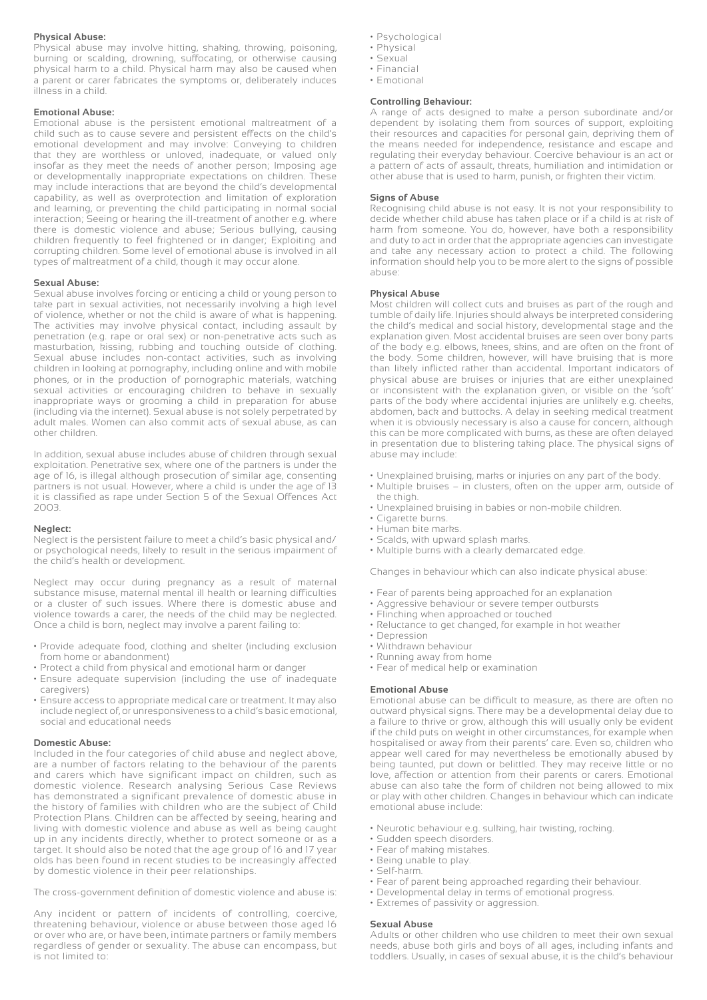# **Physical Abuse:**

Physical abuse may involve hitting, shaking, throwing, poisoning, burning or scalding, drowning, suffocating, or otherwise causing physical harm to a child. Physical harm may also be caused when a parent or carer fabricates the symptoms or, deliberately induces illness in a child.

# **Emotional Abuse:**

Emotional abuse is the persistent emotional maltreatment of a child such as to cause severe and persistent effects on the child's emotional development and may involve: Conveying to children that they are worthless or unloved, inadequate, or valued only insofar as they meet the needs of another person; Imposing age or developmentally inappropriate expectations on children. These may include interactions that are beyond the child's developmental capability, as well as overprotection and limitation of exploration and learning, or preventing the child participating in normal social interaction; Seeing or hearing the ill-treatment of another e.g. where there is domestic violence and abuse; Serious bullying, causing children frequently to feel frightened or in danger; Exploiting and corrupting children. Some level of emotional abuse is involved in all types of maltreatment of a child, though it may occur alone.

# **Sexual Abuse:**

Sexual abuse involves forcing or enticing a child or young person to take part in sexual activities, not necessarily involving a high level of violence, whether or not the child is aware of what is happening. The activities may involve physical contact, including assault by penetration (e.g. rape or oral sex) or non-penetrative acts such as masturbation, kissing, rubbing and touching outside of clothing. Sexual abuse includes non-contact activities, such as involving children in looking at pornography, including online and with mobile phones, or in the production of pornographic materials, watching sexual activities or encouraging children to behave in sexually inappropriate ways or grooming a child in preparation for abuse (including via the internet). Sexual abuse is not solely perpetrated by adult males. Women can also commit acts of sexual abuse, as can other children.

In addition, sexual abuse includes abuse of children through sexual exploitation. Penetrative sex, where one of the partners is under the age of 16, is illegal although prosecution of similar age, consenting partners is not usual. However, where a child is under the age of 13 it is classified as rape under Section 5 of the Sexual Offences Act 2003.

## **Neglect:**

Neglect is the persistent failure to meet a child's basic physical and/ or psychological needs, likely to result in the serious impairment of the child's health or development.

Neglect may occur during pregnancy as a result of maternal substance misuse, maternal mental ill health or learning difficulties or a cluster of such issues. Where there is domestic abuse and violence towards a carer, the needs of the child may be neglected. Once a child is born, neglect may involve a parent failing to:

- Provide adequate food, clothing and shelter (including exclusion from home or abandonment)
- Protect a child from physical and emotional harm or danger
- Ensure adequate supervision (including the use of inadequate caregivers)
- Ensure access to appropriate medical care or treatment. It may also include neglect of, or unresponsiveness to a child's basic emotional, social and educational needs

#### **Domestic Abuse:**

Included in the four categories of child abuse and neglect above, are a number of factors relating to the behaviour of the parents and carers which have significant impact on children, such as domestic violence. Research analysing Serious Case Reviews has demonstrated a significant prevalence of domestic abuse in the history of families with children who are the subject of Child Protection Plans. Children can be affected by seeing, hearing and living with domestic violence and abuse as well as being caught up in any incidents directly, whether to protect someone or as a target. It should also be noted that the age group of 16 and 17 year olds has been found in recent studies to be increasingly affected by domestic violence in their peer relationships.

The cross-government definition of domestic violence and abuse is:

Any incident or pattern of incidents of controlling, coercive, threatening behaviour, violence or abuse between those aged 16 or over who are, or have been, intimate partners or family members regardless of gender or sexuality. The abuse can encompass, but is not limited to:

- Psychological
- Physical
- Sexual
- Financial
- Emotional

# **Controlling Behaviour:**

A range of acts designed to make a person subordinate and/or dependent by isolating them from sources of support, exploiting their resources and capacities for personal gain, depriving them of the means needed for independence, resistance and escape and regulating their everyday behaviour. Coercive behaviour is an act or a pattern of acts of assault, threats, humiliation and intimidation or other abuse that is used to harm, punish, or frighten their victim.

#### **Signs of Abuse**

Recognising child abuse is not easy. It is not your responsibility to decide whether child abuse has taken place or if a child is at risk of harm from someone. You do, however, have both a responsibility and duty to act in order that the appropriate agencies can investigate and take any necessary action to protect a child. The following information should help you to be more alert to the signs of possible abuse:

# **Physical Abuse**

Most children will collect cuts and bruises as part of the rough and tumble of daily life. Injuries should always be interpreted considering the child's medical and social history, developmental stage and the explanation given. Most accidental bruises are seen over bony parts of the body e.g. elbows, knees, skins, and are often on the front of the body. Some children, however, will have bruising that is more than likely inflicted rather than accidental. Important indicators of physical abuse are bruises or injuries that are either unexplained or inconsistent with the explanation given, or visible on the 'soft' parts of the body where accidental injuries are unlikely e.g. cheeks, abdomen, back and buttocks. A delay in seeking medical treatment when it is obviously necessary is also a cause for concern, although this can be more complicated with burns, as these are often delayed in presentation due to blistering taking place. The physical signs of abuse may include:

- Unexplained bruising, marks or injuries on any part of the body.
- Multiple bruises in clusters, often on the upper arm, outside of the thigh.
- Unexplained bruising in babies or non-mobile children.
- Cigarette burns.
- Human bite marks.
- Scalds, with upward splash marks.
- Multiple burns with a clearly demarcated edge.

Changes in behaviour which can also indicate physical abuse:

- Fear of parents being approached for an explanation
- Aggressive behaviour or severe temper outbursts
- Flinching when approached or touched
- Reluctance to get changed, for example in hot weather
- Depression
- Withdrawn behaviour
- Running away from home
- Fear of medical help or examination

# **Emotional Abuse**

Emotional abuse can be difficult to measure, as there are often no outward physical signs. There may be a developmental delay due to a failure to thrive or grow, although this will usually only be evident if the child puts on weight in other circumstances, for example when hospitalised or away from their parents' care. Even so, children who appear well cared for may nevertheless be emotionally abused by being taunted, put down or belittled. They may receive little or no love, affection or attention from their parents or carers. Emotional abuse can also take the form of children not being allowed to mix or play with other children. Changes in behaviour which can indicate emotional abuse include:

- Neurotic behaviour e.g. sulking, hair twisting, rocking.
- Sudden speech disorders.
- Fear of making mistakes.
- Being unable to play.
- Self-harm.
- Fear of parent being approached regarding their behaviour.
- Developmental delay in terms of emotional progress.
- Extremes of passivity or aggression.

#### **Sexual Abuse**

Adults or other children who use children to meet their own sexual needs, abuse both girls and boys of all ages, including infants and toddlers. Usually, in cases of sexual abuse, it is the child's behaviour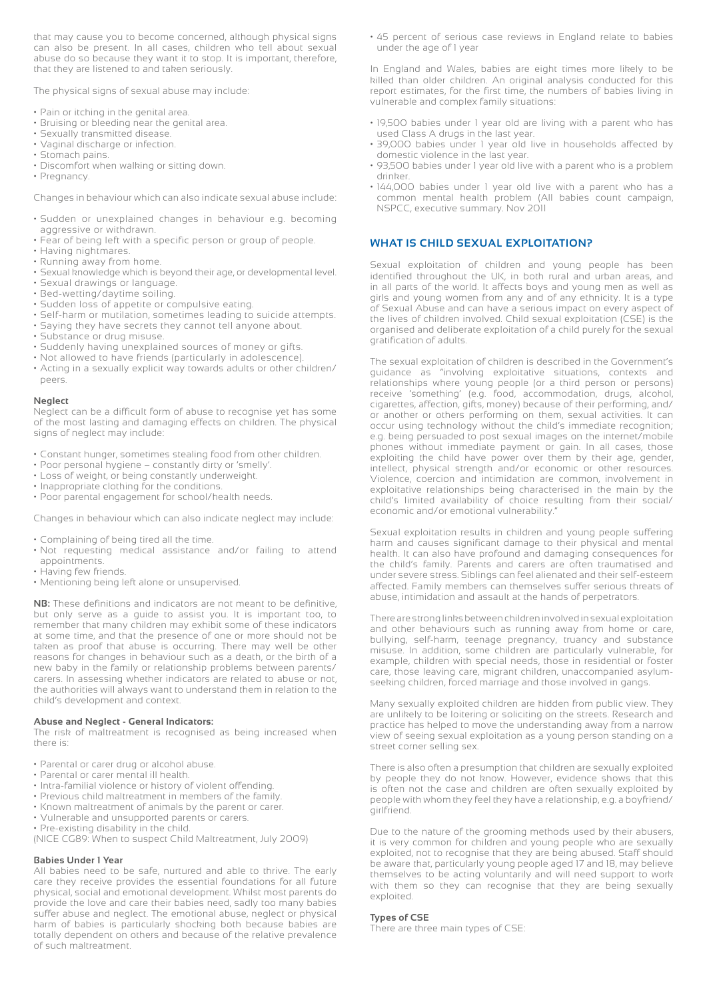that may cause you to become concerned, although physical signs can also be present. In all cases, children who tell about sexual abuse do so because they want it to stop. It is important, therefore, that they are listened to and taken seriously.

The physical signs of sexual abuse may include:

- Pain or itching in the genital area.
- Bruising or bleeding near the genital area.
- Sexually transmitted disease.
- Vaginal discharge or infection.
- Stomach pains.
- Discomfort when walking or sitting down.
- Pregnancy.

Changes in behaviour which can also indicate sexual abuse include:

- Sudden or unexplained changes in behaviour e.g. becoming aggressive or withdrawn.
- Fear of being left with a specific person or group of people.
- Having nightmares.
- Running away from home.
- Sexual knowledge which is beyond their age, or developmental level.
- Sexual drawings or language.
- Bed-wetting/daytime soiling.
- Sudden loss of appetite or compulsive eating.
- Self-harm or mutilation, sometimes leading to suicide attempts.
- Saying they have secrets they cannot tell anyone about.
- Substance or drug misuse.
- Suddenly having unexplained sources of money or gifts.
- Not allowed to have friends (particularly in adolescence). • Acting in a sexually explicit way towards adults or other children/ peers.

# **Neglect**

Neglect can be a difficult form of abuse to recognise yet has some of the most lasting and damaging effects on children. The physical signs of neglect may include:

- Constant hunger, sometimes stealing food from other children.
- Poor personal hygiene constantly dirty or 'smelly'.
- Loss of weight, or being constantly underweight.
- Inappropriate clothing for the conditions.
- Poor parental engagement for school/health needs.

Changes in behaviour which can also indicate neglect may include:

- Complaining of being tired all the time.
- Not requesting medical assistance and/or failing to attend appointments.
- Having few friends.
- Mentioning being left alone or unsupervised.

**NB:** These definitions and indicators are not meant to be definitive, but only serve as a guide to assist you. It is important too, to remember that many children may exhibit some of these indicators at some time, and that the presence of one or more should not be taken as proof that abuse is occurring. There may well be other reasons for changes in behaviour such as a death, or the birth of a new baby in the family or relationship problems between parents/ carers. In assessing whether indicators are related to abuse or not, the authorities will always want to understand them in relation to the child's development and context.

# **Abuse and Neglect - General Indicators:**

The risk of maltreatment is recognised as being increased when there is:

- Parental or carer drug or alcohol abuse.
- Parental or carer mental ill health.
- Intra-familial violence or history of violent offending.
- Previous child maltreatment in members of the family.
- Known maltreatment of animals by the parent or carer.
- Vulnerable and unsupported parents or carers.
- Pre-existing disability in the child.

(NICE CG89: When to suspect Child Maltreatment, July 2009)

# **Babies Under 1 Year**

All babies need to be safe, nurtured and able to thrive. The early care they receive provides the essential foundations for all future physical, social and emotional development. Whilst most parents do provide the love and care their babies need, sadly too many babies suffer abuse and neglect. The emotional abuse, neglect or physical harm of babies is particularly shocking both because babies are totally dependent on others and because of the relative prevalence of such maltreatment.

• 45 percent of serious case reviews in England relate to babies under the age of 1 year

In England and Wales, babies are eight times more likely to be killed than older children. An original analysis conducted for this report estimates, for the first time, the numbers of babies living in vulnerable and complex family situations:

- 19,500 babies under 1 year old are living with a parent who has used Class A drugs in the last year.
- 39,000 babies under 1 year old live in households affected by domestic violence in the last year.
- 93,500 babies under 1 year old live with a parent who is a problem drinker.
- 144,000 babies under 1 year old live with a parent who has a common mental health problem (All babies count campaign, NSPCC, executive summary. Nov 2011

# **WHAT IS CHILD SEXUAL EXPLOITATION?**

Sexual exploitation of children and young people has been identified throughout the UK, in both rural and urban areas, and in all parts of the world. It affects boys and young men as well as girls and young women from any and of any ethnicity. It is a type of Sexual Abuse and can have a serious impact on every aspect of the lives of children involved. Child sexual exploitation (CSE) is the organised and deliberate exploitation of a child purely for the sexual gratification of adults.

The sexual exploitation of children is described in the Government's guidance as "involving exploitative situations, contexts and relationships where young people (or a third person or persons) receive 'something' (e.g. food, accommodation, drugs, alcohol, cigarettes, affection, gifts, money) because of their performing, and/ or another or others performing on them, sexual activities. It can occur using technology without the child's immediate recognition; e.g. being persuaded to post sexual images on the internet/mobile phones without immediate payment or gain. In all cases, those exploiting the child have power over them by their age, gender, intellect, physical strength and/or economic or other resources. Violence, coercion and intimidation are common, involvement in exploitative relationships being characterised in the main by the child's limited availability of choice resulting from their social/ economic and/or emotional vulnerability."

Sexual exploitation results in children and young people suffering harm and causes significant damage to their physical and mental health. It can also have profound and damaging consequences for the child's family. Parents and carers are often traumatised and under severe stress. Siblings can feel alienated and their self-esteem affected. Family members can themselves suffer serious threats of abuse, intimidation and assault at the hands of perpetrators.

There are strong links between children involved in sexual exploitation and other behaviours such as running away from home or care, bullying, self-harm, teenage pregnancy, truancy and substance misuse. In addition, some children are particularly vulnerable, for example, children with special needs, those in residential or foster care, those leaving care, migrant children, unaccompanied asylumseeking children, forced marriage and those involved in gangs.

Many sexually exploited children are hidden from public view. They are unlikely to be loitering or soliciting on the streets. Research and practice has helped to move the understanding away from a narrow view of seeing sexual exploitation as a young person standing on a street corner selling sex.

There is also often a presumption that children are sexually exploited by people they do not know. However, evidence shows that this is often not the case and children are often sexually exploited by people with whom they feel they have a relationship, e.g. a boyfriend/ girlfriend.

Due to the nature of the grooming methods used by their abusers, it is very common for children and young people who are sexually exploited, not to recognise that they are being abused. Staff should be aware that, particularly young people aged 17 and 18, may believe themselves to be acting voluntarily and will need support to work with them so they can recognise that they are being sexually exploited.

# **Types of CSE**

There are three main types of CSE: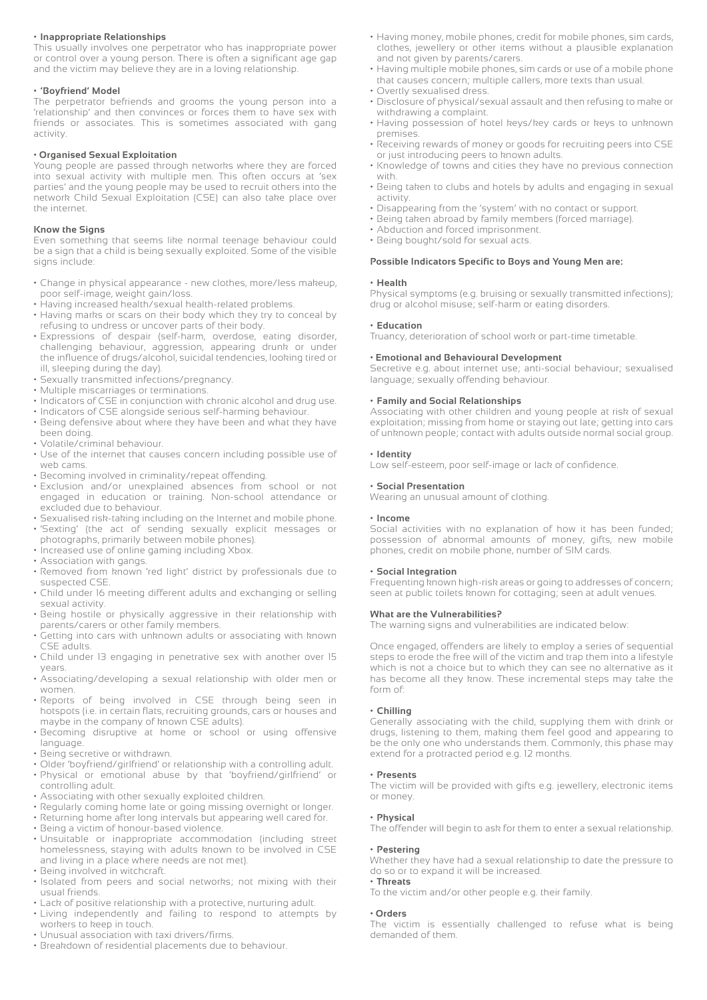# **• Inappropriate Relationships**

This usually involves one perpetrator who has inappropriate power or control over a young person. There is often a significant age gap and the victim may believe they are in a loving relationship.

# **• 'Boyfriend' Model**

The perpetrator befriends and grooms the young person into a 'relationship' and then convinces or forces them to have sex with friends or associates. This is sometimes associated with gang activity.

#### **• Organised Sexual Exploitation**

Young people are passed through networks where they are forced into sexual activity with multiple men. This often occurs at 'sex parties' and the young people may be used to recruit others into the network Child Sexual Exploitation (CSE) can also take place over the internet.

# **Know the Signs**

Even something that seems like normal teenage behaviour could be a sign that a child is being sexually exploited. Some of the visible signs include:

- Change in physical appearance new clothes, more/less makeup, poor self-image, weight gain/loss.
- Having increased health/sexual health-related problems.
- Having marks or scars on their body which they try to conceal by refusing to undress or uncover parts of their body.
- Expressions of despair (self-harm, overdose, eating disorder, challenging behaviour, aggression, appearing drunk or under the influence of drugs/alcohol, suicidal tendencies, looking tired or ill, sleeping during the day).
- Sexually transmitted infections/pregnancy.
- Multiple miscarriages or terminations.
- Indicators of CSE in conjunction with chronic alcohol and drug use.
- Indicators of CSE alongside serious self-harming behaviour.
- Being defensive about where they have been and what they have been doing.
- Volatile/criminal behaviour.
- Use of the internet that causes concern including possible use of web cams.
- Becoming involved in criminality/repeat offending.
- Exclusion and/or unexplained absences from school or not engaged in education or training. Non-school attendance or excluded due to behaviour.
- Sexualised risk-taking including on the Internet and mobile phone. • 'Sexting' (the act of sending sexually explicit messages or
- photographs, primarily between mobile phones).
- Increased use of online gaming including Xbox.
- Association with gangs.
- Removed from known 'red light' district by professionals due to suspected CSE
- Child under 16 meeting different adults and exchanging or selling sexual activity.
- Being hostile or physically aggressive in their relationship with parents/carers or other family members.
- Getting into cars with unknown adults or associating with known CSE adults.
- Child under 13 engaging in penetrative sex with another over 15 years.
- Associating/developing a sexual relationship with older men or women.
- Reports of being involved in CSE through being seen in hotspots (i.e. in certain flats, recruiting grounds, cars or houses and maybe in the company of known CSE adults).
- Becoming disruptive at home or school or using offensive language.
- Being secretive or withdrawn.
- Older 'boyfriend/girlfriend' or relationship with a controlling adult.
- Physical or emotional abuse by that 'boyfriend/girlfriend' or controlling adult.
- Associating with other sexually exploited children.
- Regularly coming home late or going missing overnight or longer.
- Returning home after long intervals but appearing well cared for.
- Being a victim of honour-based violence.
- Unsuitable or inappropriate accommodation (including street homelessness, staying with adults known to be involved in CSE and living in a place where needs are not met). • Being involved in witchcraft.
- Isolated from peers and social networks; not mixing with their usual friends.
- Lack of positive relationship with a protective, nurturing adult.
- Living independently and failing to respond to attempts by workers to keep in touch.
- Unusual association with taxi drivers/firms.
- Breakdown of residential placements due to behaviour.
- Having money, mobile phones, credit for mobile phones, sim cards, clothes, jewellery or other items without a plausible explanation and not given by parents/carers.
- Having multiple mobile phones, sim cards or use of a mobile phone that causes concern; multiple callers, more texts than usual.
- Overtly sexualised dress.
- Disclosure of physical/sexual assault and then refusing to make or withdrawing a complaint.
- Having possession of hotel keys/key cards or keys to unknown premises.
- Receiving rewards of money or goods for recruiting peers into CSE or just introducing peers to known adults.
- Knowledge of towns and cities they have no previous connection with.
- Being taken to clubs and hotels by adults and engaging in sexual activity.
- Disappearing from the 'system' with no contact or support.
- Being taken abroad by family members (forced marriage).
- Abduction and forced imprisonment. • Being bought/sold for sexual acts.

# **Possible Indicators Specific to Boys and Young Men are:**

# **• Health**

Physical symptoms (e.g. bruising or sexually transmitted infections); drug or alcohol misuse; self-harm or eating disorders.

#### **• Education**

Truancy, deterioration of school work or part-time timetable.

# **• Emotional and Behavioural Development**

Secretive e.g. about internet use; anti-social behaviour; sexualised language; sexually offending behaviour.

# **• Family and Social Relationships**

Associating with other children and young people at risk of sexual exploitation; missing from home or staying out late; getting into cars of unknown people; contact with adults outside normal social group.

#### **• Identity**

Low self-esteem, poor self-image or lack of confidence.

# **• Social Presentation**

Wearing an unusual amount of clothing.

# **• Income**

Social activities with no explanation of how it has been funded; possession of abnormal amounts of money, gifts, new mobile phones, credit on mobile phone, number of SIM cards.

#### **• Social Integration**

Frequenting known high-risk areas or going to addresses of concern; seen at public toilets known for cottaging; seen at adult venues.

# **What are the Vulnerabilities?**

The warning signs and vulnerabilities are indicated below:

Once engaged, offenders are likely to employ a series of sequential steps to erode the free will of the victim and trap them into a lifestyle which is not a choice but to which they can see no alternative as it has become all they know. These incremental steps may take the form of:

# **• Chilling**

Generally associating with the child, supplying them with drink or drugs, listening to them, making them feel good and appearing to be the only one who understands them. Commonly, this phase may extend for a protracted period e.g. 12 months.

#### **• Presents**

The victim will be provided with gifts e.g. jewellery, electronic items or money.

#### **• Physical**

The offender will begin to ask for them to enter a sexual relationship.

#### **• Pestering**

Whether they have had a sexual relationship to date the pressure to do so or to expand it will be increased.

# **• Threats**

To the victim and/or other people e.g. their family.

#### **• Orders**

The victim is essentially challenged to refuse what is being demanded of them.